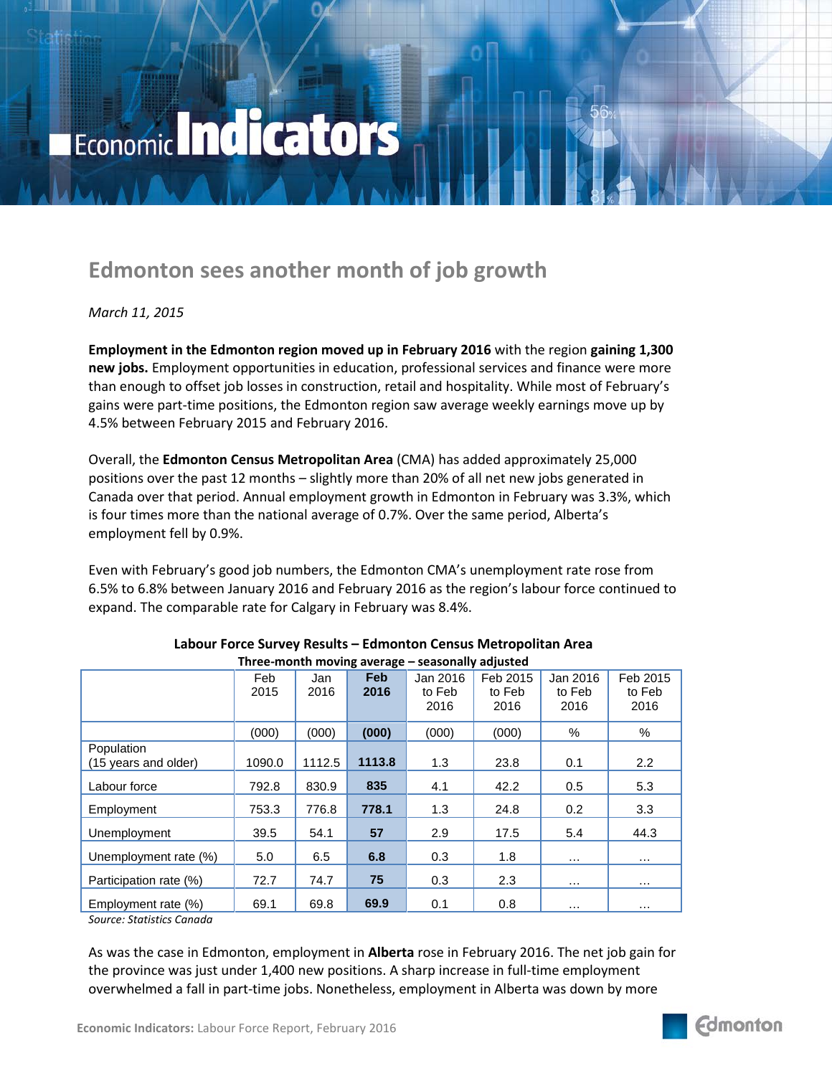# Economic Indicators

## **Edmonton sees another month of job growth**

### *March 11, 2015*

**Employment in the Edmonton region moved up in February 2016** with the region **gaining 1,300 new jobs.** Employment opportunities in education, professional services and finance were more than enough to offset job losses in construction, retail and hospitality. While most of February's gains were part-time positions, the Edmonton region saw average weekly earnings move up by 4.5% between February 2015 and February 2016.

Overall, the **Edmonton Census Metropolitan Area** (CMA) has added approximately 25,000 positions over the past 12 months – slightly more than 20% of all net new jobs generated in Canada over that period. Annual employment growth in Edmonton in February was 3.3%, which is four times more than the national average of 0.7%. Over the same period, Alberta's employment fell by 0.9%.

Even with February's good job numbers, the Edmonton CMA's unemployment rate rose from 6.5% to 6.8% between January 2016 and February 2016 as the region's labour force continued to expand. The comparable rate for Calgary in February was 8.4%.

| Three-month moving average – seasonally adjusted |             |             |                    |                            |                            |                            |                            |
|--------------------------------------------------|-------------|-------------|--------------------|----------------------------|----------------------------|----------------------------|----------------------------|
|                                                  | Feb<br>2015 | Jan<br>2016 | <b>Feb</b><br>2016 | Jan 2016<br>to Feb<br>2016 | Feb 2015<br>to Feb<br>2016 | Jan 2016<br>to Feb<br>2016 | Feb 2015<br>to Feb<br>2016 |
|                                                  | (000)       | (000)       | (000)              | (000)                      | (000)                      | %                          | %                          |
| Population<br>(15 years and older)               | 1090.0      | 1112.5      | 1113.8             | 1.3                        | 23.8                       | 0.1                        | 2.2                        |
| Labour force                                     | 792.8       | 830.9       | 835                | 4.1                        | 42.2                       | 0.5                        | 5.3                        |
| Employment                                       | 753.3       | 776.8       | 778.1              | 1.3                        | 24.8                       | 0.2                        | 3.3                        |
| Unemployment                                     | 39.5        | 54.1        | 57                 | 2.9                        | 17.5                       | 5.4                        | 44.3                       |
| Unemployment rate (%)                            | 5.0         | 6.5         | 6.8                | 0.3                        | 1.8                        | $\cdots$                   | $\cdots$                   |
| Participation rate (%)                           | 72.7        | 74.7        | 75                 | 0.3                        | 2.3                        | $\cdots$                   | .                          |
| Employment rate (%)                              | 69.1        | 69.8        | 69.9               | 0.1                        | 0.8                        | $\cdots$                   | .                          |

#### **Labour Force Survey Results – Edmonton Census Metropolitan Area Three-month moving average – seasonally adjusted**

*Source: Statistics Canada*

As was the case in Edmonton, employment in **Alberta** rose in February 2016. The net job gain for the province was just under 1,400 new positions. A sharp increase in full-time employment overwhelmed a fall in part-time jobs. Nonetheless, employment in Alberta was down by more